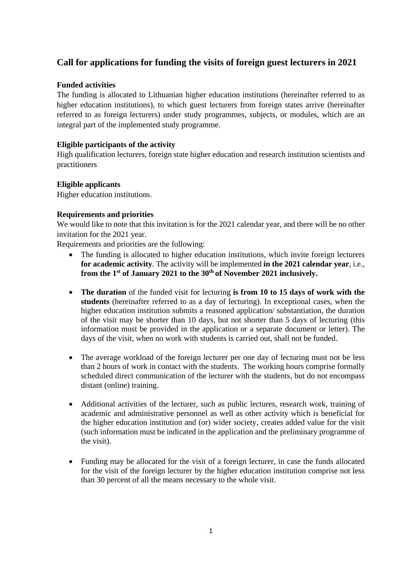# **Call for applications for funding the visits of foreign guest lecturers in 2021**

## **Funded activities**

The funding is allocated to Lithuanian higher education institutions (hereinafter referred to as higher education institutions), to which guest lecturers from foreign states arrive (hereinafter referred to as foreign lecturers) under study programmes, subjects, or modules, which are an integral part of the implemented study programme.

## **Eligible participants of the activity**

High qualification lecturers, foreign state higher education and research institution scientists and practitioners

## **Eligible applicants**

Higher education institutions.

## **Requirements and priorities**

We would like to note that this invitation is for the 2021 calendar year, and there will be no other invitation for the 2021 year.

Requirements and priorities are the following:

- The funding is allocated to higher education institutions, which invite foreign lecturers **for academic activity**. The activity will be implemented **in the 2021 calendar year**, i.e., **from the 1 st of January 2021 to the 30th of November 2021 inclusively.**
- The duration of the funded visit for lecturing is from 10 to 15 days of work with the **students** (hereinafter referred to as a day of lecturing). In exceptional cases, when the higher education institution submits a reasoned application/ substantiation, the duration of the visit may be shorter than 10 days, but not shorter than 5 days of lecturing (this information must be provided in the application or a separate document or letter). The days of the visit, when no work with students is carried out, shall not be funded.
- The average workload of the foreign lecturer per one day of lecturing must not be less than 2 hours of work in contact with the students. The working hours comprise formally scheduled direct communication of the lecturer with the students, but do not encompass distant (online) training.
- Additional activities of the lecturer, such as public lectures, research work, training of academic and administrative personnel as well as other activity which is beneficial for the higher education institution and (or) wider society, creates added value for the visit (such information must be indicated in the application and the preliminary programme of the visit).
- Funding may be allocated for the visit of a foreign lecturer, in case the funds allocated for the visit of the foreign lecturer by the higher education institution comprise not less than 30 percent of all the means necessary to the whole visit.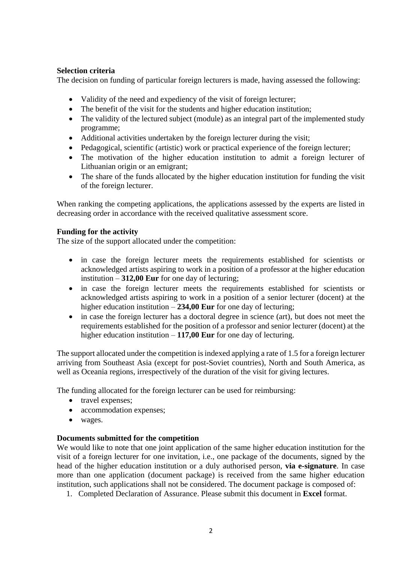# **Selection criteria**

The decision on funding of particular foreign lecturers is made, having assessed the following:

- Validity of the need and expediency of the visit of foreign lecturer;
- The benefit of the visit for the students and higher education institution;
- The validity of the lectured subject (module) as an integral part of the implemented study programme;
- Additional activities undertaken by the foreign lecturer during the visit;
- Pedagogical, scientific (artistic) work or practical experience of the foreign lecturer;
- The motivation of the higher education institution to admit a foreign lecturer of Lithuanian origin or an emigrant;
- The share of the funds allocated by the higher education institution for funding the visit of the foreign lecturer.

When ranking the competing applications, the applications assessed by the experts are listed in decreasing order in accordance with the received qualitative assessment score.

## **Funding for the activity**

The size of the support allocated under the competition:

- in case the foreign lecturer meets the requirements established for scientists or acknowledged artists aspiring to work in a position of a professor at the higher education institution – **312,00 Eur** for one day of lecturing;
- in case the foreign lecturer meets the requirements established for scientists or acknowledged artists aspiring to work in a position of a senior lecturer (docent) at the higher education institution – **234,00 Eur** for one day of lecturing;
- in case the foreign lecturer has a doctoral degree in science (art), but does not meet the requirements established for the position of a professor and senior lecturer (docent) at the higher education institution – **117,00 Eur** for one day of lecturing.

The support allocated under the competition is indexed applying a rate of 1.5 for a foreign lecturer arriving from Southeast Asia (except for post-Soviet countries), North and South America, as well as Oceania regions, irrespectively of the duration of the visit for giving lectures.

The funding allocated for the foreign lecturer can be used for reimbursing:

- travel expenses:
- accommodation expenses;
- wages.

### **Documents submitted for the competition**

We would like to note that one joint application of the same higher education institution for the visit of a foreign lecturer for one invitation, i.e., one package of the documents, signed by the head of the higher education institution or a duly authorised person, **via e-signature**. In case more than one application (document package) is received from the same higher education institution, such applications shall not be considered. The document package is composed of:

1. Completed Declaration of Assurance. Please submit this document in **Excel** format.